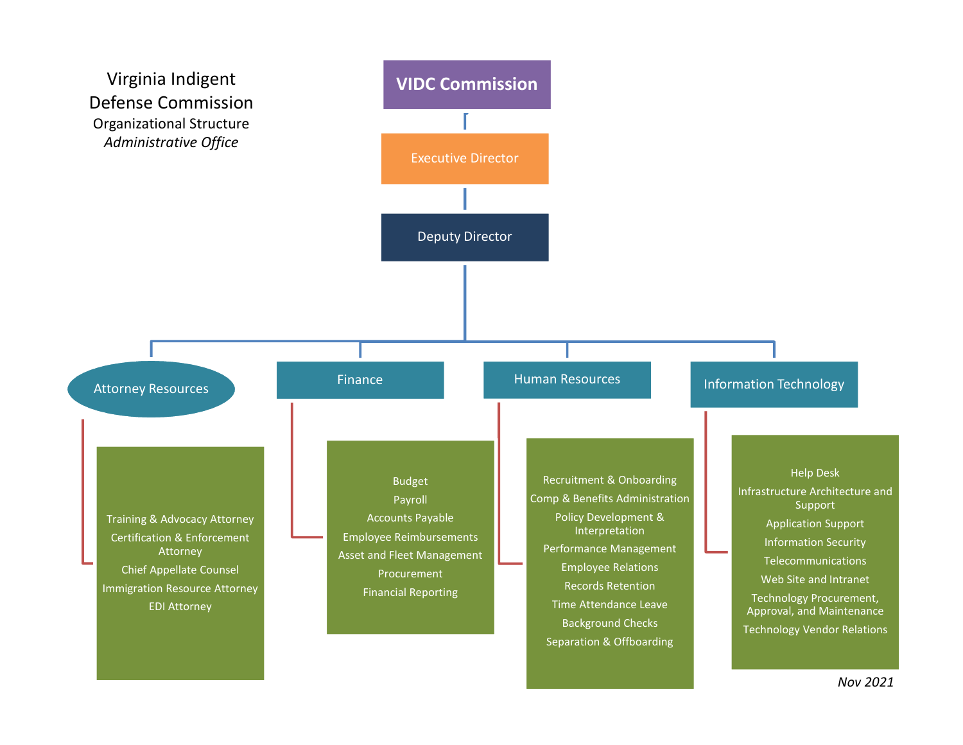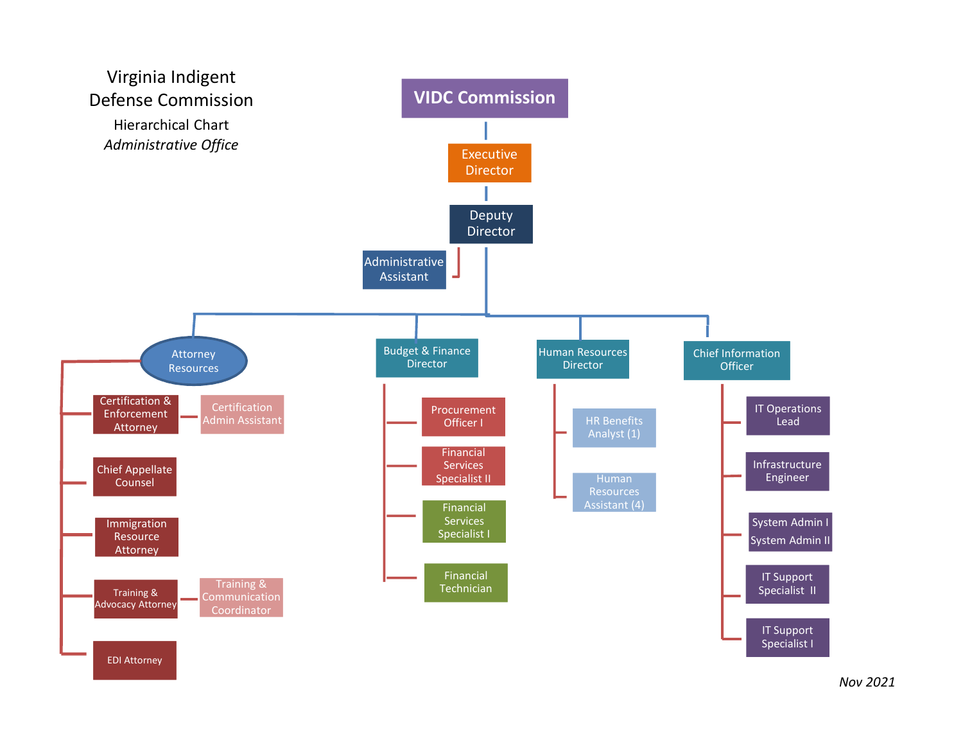

Nov 2021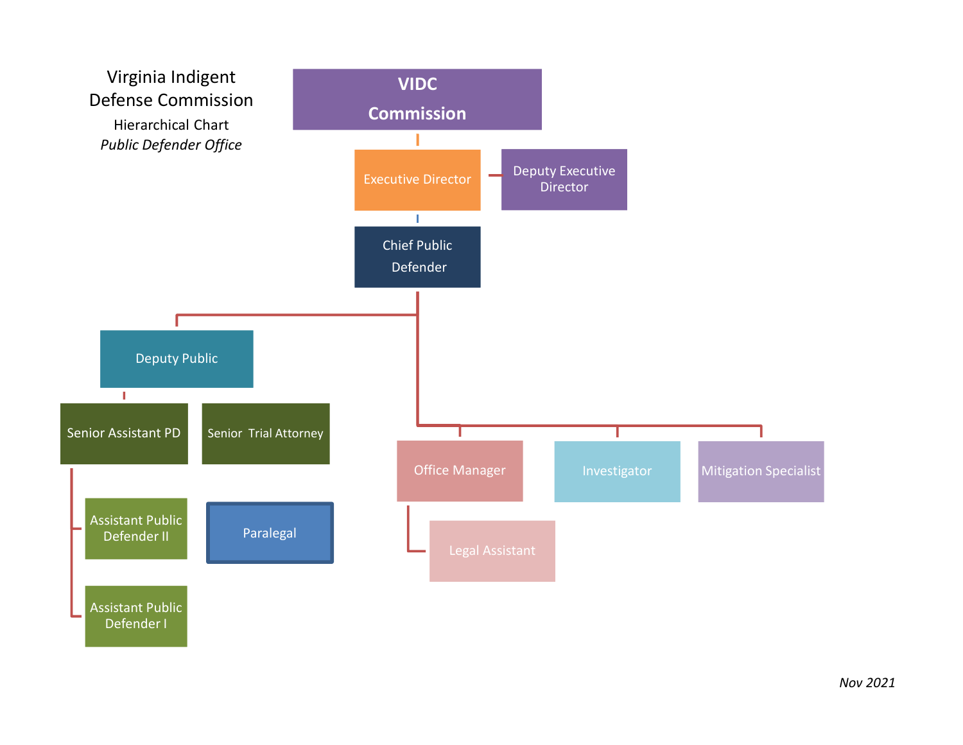